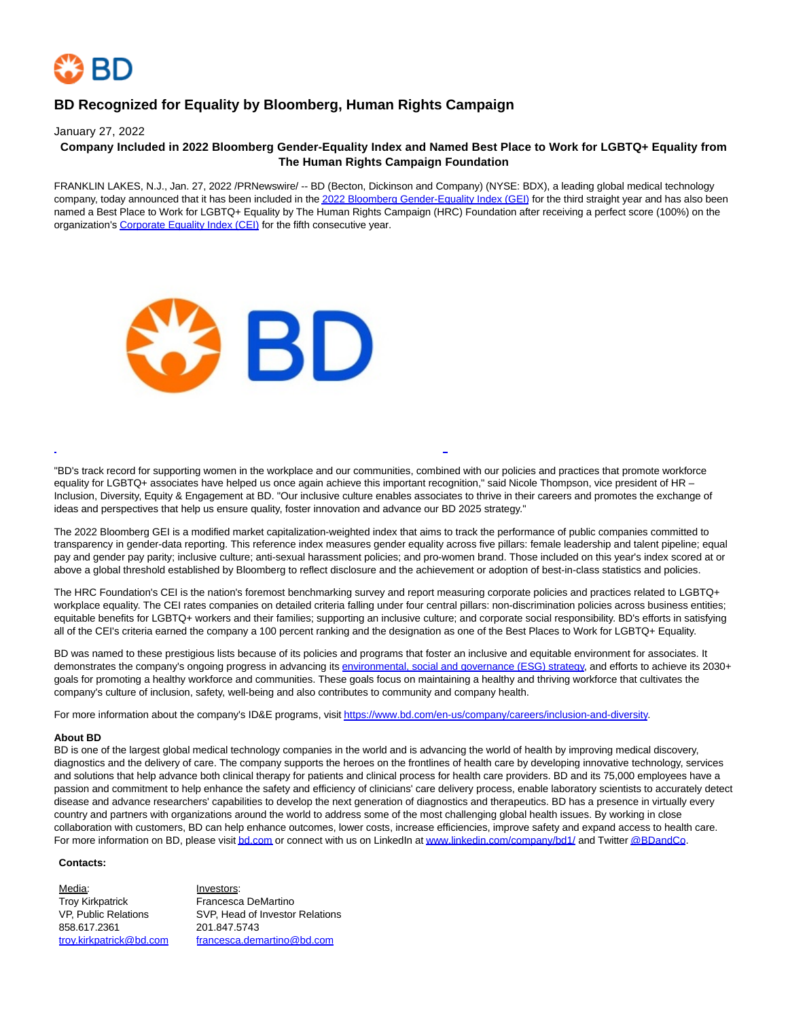

## **BD Recognized for Equality by Bloomberg, Human Rights Campaign**

January 27, 2022

## **Company Included in 2022 Bloomberg Gender-Equality Index and Named Best Place to Work for LGBTQ+ Equality from The Human Rights Campaign Foundation**

FRANKLIN LAKES, N.J., Jan. 27, 2022 /PRNewswire/ -- BD (Becton, Dickinson and Company) (NYSE: BDX), a leading global medical technology company, today announced that it has been included in th[e 2022 Bloomberg Gender-Equality Index \(GEI\) f](https://c212.net/c/link/?t=0&l=en&o=3425217-1&h=3783134236&u=https%3A%2F%2Fwww.bloomberg.com%2Fgei&a=2022+Bloomberg+Gender-Equality+Index+(GEI))or the third straight year and has also been named a Best Place to Work for LGBTQ+ Equality by The Human Rights Campaign (HRC) Foundation after receiving a perfect score (100%) on the organization'[s Corporate Equality Index \(CEI\) f](https://c212.net/c/link/?t=0&l=en&o=3425217-1&h=3145084725&u=https%3A%2F%2Fwww.hrc.org%2Fresources%2Fcorporate-equality-index&a=Corporate+Equality+Index+(CEI))or the fifth consecutive year.



"BD's track record for supporting women in the workplace and our communities, combined with our policies and practices that promote workforce equality for LGBTQ+ associates have helped us once again achieve this important recognition," said Nicole Thompson, vice president of HR -Inclusion, Diversity, Equity & Engagement at BD. "Our inclusive culture enables associates to thrive in their careers and promotes the exchange of ideas and perspectives that help us ensure quality, foster innovation and advance our BD 2025 strategy."

L

The 2022 Bloomberg GEI is a modified market capitalization-weighted index that aims to track the performance of public companies committed to transparency in gender-data reporting. This reference index measures gender equality across five pillars: female leadership and talent pipeline; equal pay and gender pay parity; inclusive culture; anti-sexual harassment policies; and pro-women brand. Those included on this year's index scored at or above a global threshold established by Bloomberg to reflect disclosure and the achievement or adoption of best-in-class statistics and policies.

The HRC Foundation's CEI is the nation's foremost benchmarking survey and report measuring corporate policies and practices related to LGBTQ+ workplace equality. The CEI rates companies on detailed criteria falling under four central pillars: non-discrimination policies across business entities; equitable benefits for LGBTQ+ workers and their families; supporting an inclusive culture; and corporate social responsibility. BD's efforts in satisfying all of the CEI's criteria earned the company a 100 percent ranking and the designation as one of the Best Places to Work for LGBTQ+ Equality.

BD was named to these prestigious lists because of its policies and programs that foster an inclusive and equitable environment for associates. It demonstrates the company's ongoing progress in advancing its [environmental, social and governance \(ESG\) strategy,](https://c212.net/c/link/?t=0&l=en&o=3425217-1&h=964205141&u=https%3A%2F%2Fc212.net%2Fc%2Flink%2F%3Ft%3D0%26l%3Den%26o%3D3375065-1%26h%3D2720527221%26u%3Dhttps%253A%252F%252Fnews.bd.com%252Fesg%253F_ga%253D2.30013759.1819229307.1637085270-408511178.1595959806%26a%3Denvironmental%252C%2Bsocial%2Band%2Bgovernance%2B(ESG)%2Bstrategy&a=environmental%2C+social+and+governance+(ESG)+strategy) and efforts to achieve its 2030+ goals for promoting a healthy workforce and communities. These goals focus on maintaining a healthy and thriving workforce that cultivates the company's culture of inclusion, safety, well-being and also contributes to community and company health.

For more information about the company's ID&E programs, visi[t https://www.bd.com/en-us/company/careers/inclusion-and-diversity.](https://c212.net/c/link/?t=0&l=en&o=3425217-1&h=3648345847&u=https%3A%2F%2Fwww.bd.com%2Fen-us%2Fcompany%2Fcareers%2Finclusion-and-diversity&a=https%3A%2F%2Fwww.bd.com%2Fen-us%2Fcompany%2Fcareers%2Finclusion-and-diversity)

## **About BD**

BD is one of the largest global medical technology companies in the world and is advancing the world of health by improving medical discovery, diagnostics and the delivery of care. The company supports the heroes on the frontlines of health care by developing innovative technology, services and solutions that help advance both clinical therapy for patients and clinical process for health care providers. BD and its 75,000 employees have a passion and commitment to help enhance the safety and efficiency of clinicians' care delivery process, enable laboratory scientists to accurately detect disease and advance researchers' capabilities to develop the next generation of diagnostics and therapeutics. BD has a presence in virtually every country and partners with organizations around the world to address some of the most challenging global health issues. By working in close collaboration with customers, BD can help enhance outcomes, lower costs, increase efficiencies, improve safety and expand access to health care. For more information on BD, please visi[t bd.com o](https://c212.net/c/link/?t=0&l=en&o=3425217-1&h=4003758963&u=http%3A%2F%2Fwww.bd.com%2F&a=bd.com)r connect with us on LinkedIn a[t www.linkedin.com/company/bd1/ a](https://c212.net/c/link/?t=0&l=en&o=3425217-1&h=2350339039&u=http%3A%2F%2Fwww.linkedin.com%2Fcompany%2Fbd1%2F&a=www.linkedin.com%2Fcompany%2Fbd1%2F)nd Twitte[r @BDandCo.](https://c212.net/c/link/?t=0&l=en&o=3425217-1&h=10183749&u=https%3A%2F%2Ftwitter.com%2Fbdandco&a=%40BDandCo)

## **Contacts:**

Media: Investors: Troy Kirkpatrick Francesca DeMartino<br>
VP, Public Relations SVP, Head of Investor SVP, Head of Investor Relations 858.617.2361 201.847.5743 [troy.kirkpatrick@bd.com](mailto:troy.kirkpatrick@bd.com) [francesca.demartino@bd.com](mailto:francesca.demartino@bd.com)